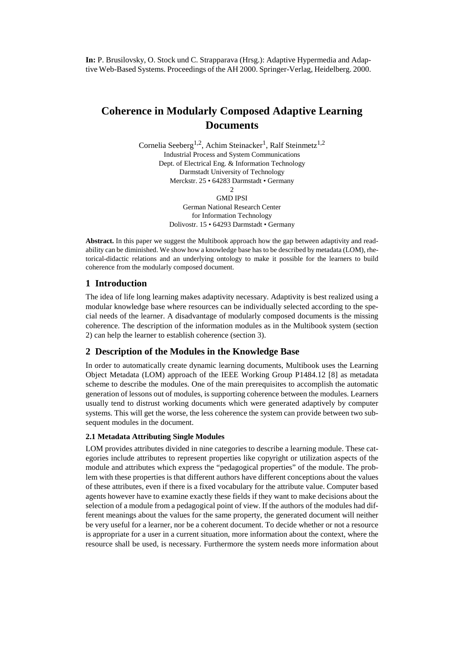**In:** P. Brusilovsky, O. Stock und C. Strapparava (Hrsg.): Adaptive Hypermedia and Adaptive Web-Based Systems. Proceedings of the AH 2000. Springer-Verlag, Heidelberg. 2000.

# **Coherence in Modularly Composed Adaptive Learning Documents**

Cornelia Seeberg<sup>1,2</sup>, Achim Steinacker<sup>1</sup>, Ralf Steinmetz<sup>1,2</sup> Industrial Process and System Communications Dept. of Electrical Eng. & Information Technology Darmstadt University of Technology Merckstr. 25 • 64283 Darmstadt • Germany  $\gamma$ GMD IPSI German National Research Center

for Information Technology Dolivostr. 15 • 64293 Darmstadt • Germany

**Abstract.** In this paper we suggest the Multibook approach how the gap between adaptivity and readability can be diminished. We show how a knowledge base has to be described by metadata (LOM), rhetorical-didactic relations and an underlying ontology to make it possible for the learners to build coherence from the modularly composed document.

# **1 Introduction**

The idea of life long learning makes adaptivity necessary. Adaptivity is best realized using a modular knowledge base where resources can be individually selected according to the special needs of the learner. A disadvantage of modularly composed documents is the missing coherence. The description of the information modules as in the Multibook system (section 2) can help the learner to establish coherence (section 3).

# **2 Description of the Modules in the Knowledge Base**

In order to automatically create dynamic learning documents, Multibook uses the Learning Object Metadata (LOM) approach of the IEEE Working Group P1484.12 [8] as metadata scheme to describe the modules. One of the main prerequisites to accomplish the automatic generation of lessons out of modules, is supporting coherence between the modules. Learners usually tend to distrust working documents which were generated adaptively by computer systems. This will get the worse, the less coherence the system can provide between two subsequent modules in the document.

## **2.1 Metadata Attributing Single Modules**

LOM provides attributes divided in nine categories to describe a learning module. These categories include attributes to represent properties like copyright or utilization aspects of the module and attributes which express the "pedagogical properties" of the module. The problem with these properties is that different authors have different conceptions about the values of these attributes, even if there is a fixed vocabulary for the attribute value. Computer based agents however have to examine exactly these fields if they want to make decisions about the selection of a module from a pedagogical point of view. If the authors of the modules had different meanings about the values for the same property, the generated document will neither be very useful for a learner, nor be a coherent document. To decide whether or not a resource is appropriate for a user in a current situation, more information about the context, where the resource shall be used, is necessary. Furthermore the system needs more information about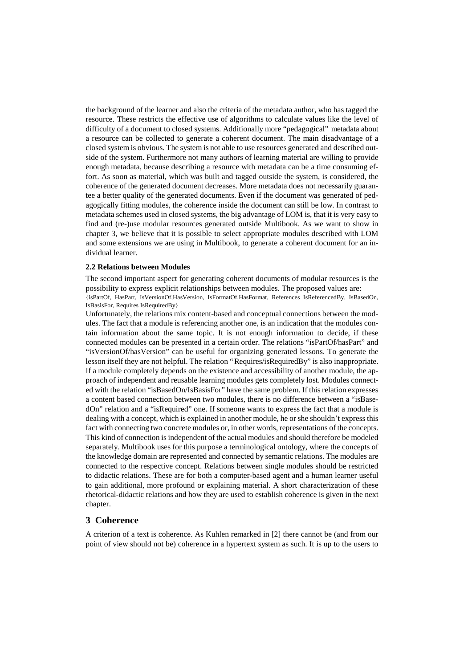the background of the learner and also the criteria of the metadata author, who has tagged the resource. These restricts the effective use of algorithms to calculate values like the level of difficulty of a document to closed systems. Additionally more "pedagogical" metadata about a resource can be collected to generate a coherent document. The main disadvantage of a closed system is obvious. The system is not able to use resources generated and described outside of the system. Furthermore not many authors of learning material are willing to provide enough metadata, because describing a resource with metadata can be a time consuming effort. As soon as material, which was built and tagged outside the system, is considered, the coherence of the generated document decreases. More metadata does not necessarily guarantee a better quality of the generated documents. Even if the document was generated of pedagogically fitting modules, the coherence inside the document can still be low. In contrast to metadata schemes used in closed systems, the big advantage of LOM is, that it is very easy to find and (re-)use modular resources generated outside Multibook. As we want to show in chapter 3, we believe that it is possible to select appropriate modules described with LOM and some extensions we are using in Multibook, to generate a coherent document for an individual learner.

#### **2.2 Relations between Modules**

The second important aspect for generating coherent documents of modular resources is the possibility to express explicit relationships between modules. The proposed values are: {isPartOf, HasPart, IsVersionOf,HasVersion, IsFormatOf,HasFormat, References IsReferencedBy, IsBasedOn, IsBasisFor, Requires IsRequiredBy}

Unfortunately, the relations mix content-based and conceptual connections between the modules. The fact that a module is referencing another one, is an indication that the modules contain information about the same topic. It is not enough information to decide, if these connected modules can be presented in a certain order. The relations "isPartOf/hasPart" and "isVersionOf/hasVersion" can be useful for organizing generated lessons. To generate the lesson itself they are not helpful. The relation "Requires/isRequiredBy" is also inappropriate. If a module completely depends on the existence and accessibility of another module, the approach of independent and reusable learning modules gets completely lost. Modules connected with the relation "isBasedOn/IsBasisFor" have the same problem. If this relation expresses a content based connection between two modules, there is no difference between a "isBasedOn" relation and a "isRequired" one. If someone wants to express the fact that a module is dealing with a concept, which is explained in another module, he or she shouldn't express this fact with connecting two concrete modules or, in other words, representations of the concepts. This kind of connection is independent of the actual modules and should therefore be modeled separately. Multibook uses for this purpose a terminological ontology, where the concepts of the knowledge domain are represented and connected by semantic relations. The modules are connected to the respective concept. Relations between single modules should be restricted to didactic relations. These are for both a computer-based agent and a human learner useful to gain additional, more profound or explaining material. A short characterization of these rhetorical-didactic relations and how they are used to establish coherence is given in the next chapter.

# **3 Coherence**

A criterion of a text is coherence. As Kuhlen remarked in [2] there cannot be (and from our point of view should not be) coherence in a hypertext system as such. It is up to the users to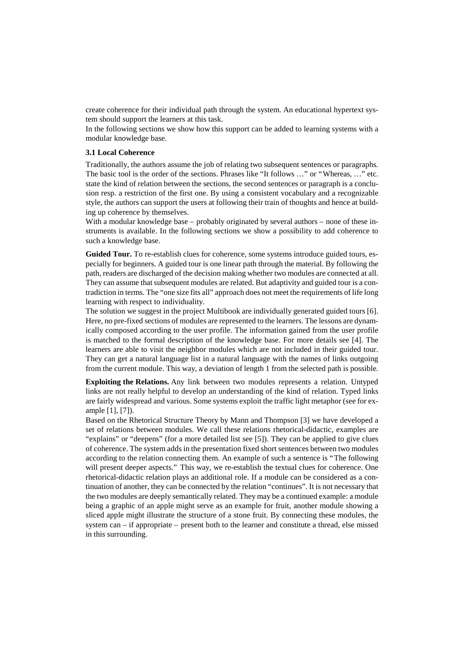create coherence for their individual path through the system. An educational hypertext system should support the learners at this task.

In the following sections we show how this support can be added to learning systems with a modular knowledge base.

## **3.1 Local Coherence**

Traditionally, the authors assume the job of relating two subsequent sentences or paragraphs. The basic tool is the order of the sections. Phrases like "It follows … " or "Whereas, … " etc. state the kind of relation between the sections, the second sentences or paragraph is a conclusion resp. a restriction of the first one. By using a consistent vocabulary and a recognizable style, the authors can support the users at following their train of thoughts and hence at building up coherence by themselves.

With a modular knowledge base – probably originated by several authors – none of these instruments is available. In the following sections we show a possibility to add coherence to such a knowledge base.

**Guided Tour.** To re-establish clues for coherence, some systems introduce guided tours, especially for beginners. A guided tour is one linear path through the material. By following the path, readers are discharged of the decision making whether two modules are connected at all. They can assume that subsequent modules are related. But adaptivity and guided tour is a contradiction in terms. The "one size fits all" approach does not meet the requirements of life long learning with respect to individuality.

The solution we suggest in the project Multibook are individually generated guided tours [6]. Here, no pre-fixed sections of modules are represented to the learners. The lessons are dynamically composed according to the user profile. The information gained from the user profile is matched to the formal description of the knowledge base. For more details see [4]. The learners are able to visit the neighbor modules which are not included in their guided tour. They can get a natural language list in a natural language with the names of links outgoing from the current module. This way, a deviation of length 1 from the selected path is possible.

**Exploiting the Relations.** Any link between two modules represents a relation. Untyped links are not really helpful to develop an understanding of the kind of relation. Typed links are fairly widespread and various. Some systems exploit the traffic light metaphor (see for example [1], [7]).

Based on the Rhetorical Structure Theory by Mann and Thompson [3] we have developed a set of relations between modules. We call these relations rhetorical-didactic, examples are "explains" or "deepens" (for a more detailed list see [5]). They can be applied to give clues of coherence. The system adds in the presentation fixed short sentences between two modules according to the relation connecting them. An example of such a sentence is "The following will present deeper aspects." This way, we re-establish the textual clues for coherence. One rhetorical-didactic relation plays an additional role. If a module can be considered as a continuation of another, they can be connected by the relation "continues". It is not necessary that the two modules are deeply semantically related. They may be a continued example: a module being a graphic of an apple might serve as an example for fruit, another module showing a sliced apple might illustrate the structure of a stone fruit. By connecting these modules, the system can – if appropriate – present both to the learner and constitute a thread, else missed in this surrounding.